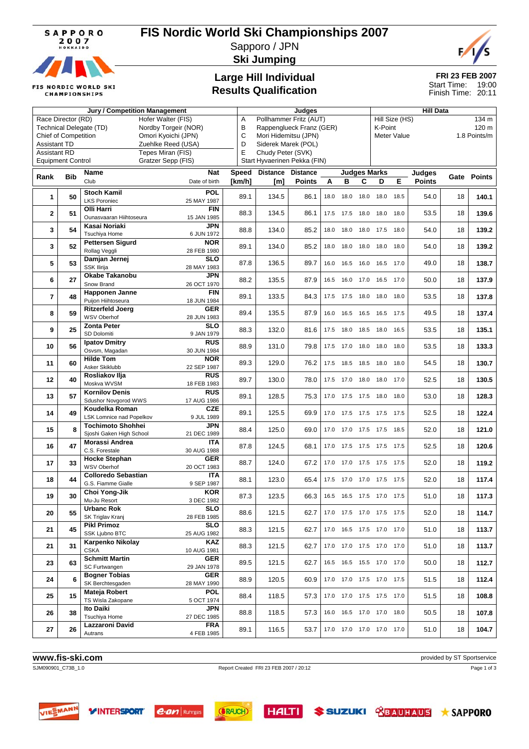

**FIS NORDIC WORLD SKI CHAMPIONSHIPS** 

## **FIS Nordic World Ski Championships 2007**

Sapporo / JPN



**Ski Jumping**

### **Large Hill Individual Results Qualification**

#### **FRI 23 FEB 2007** 19:00 Start Time:

20:11 Finish Time:

|                                                    |                                                | <b>Jury / Competition Management</b>   |                           | Judges       |                                              |                     |      |                     |      | <b>Hill Data</b>             |      |               |    |              |  |
|----------------------------------------------------|------------------------------------------------|----------------------------------------|---------------------------|--------------|----------------------------------------------|---------------------|------|---------------------|------|------------------------------|------|---------------|----|--------------|--|
| Race Director (RD)<br>Hofer Walter (FIS)           |                                                |                                        |                           | Α            | Pollhammer Fritz (AUT)<br>Hill Size (HS)     |                     |      |                     |      |                              |      |               |    | 134 m        |  |
| Technical Delegate (TD)<br>Nordby Torgeir (NOR)    |                                                |                                        |                           | В            | 120 m<br>Rappenglueck Franz (GER)<br>K-Point |                     |      |                     |      |                              |      |               |    |              |  |
| <b>Chief of Competition</b><br>Omori Kyoichi (JPN) |                                                |                                        |                           | C            | Mori Hidemitsu (JPN)<br>Meter Value          |                     |      |                     |      |                              |      |               |    | 1.8 Points/m |  |
|                                                    | D<br><b>Assistant TD</b><br>Zuehlke Reed (USA) |                                        |                           |              |                                              | Siderek Marek (POL) |      |                     |      |                              |      |               |    |              |  |
| <b>Assistant RD</b>                                |                                                |                                        | Tepes Miran (FIS)         | E            | Chudy Peter (SVK)                            |                     |      |                     |      |                              |      |               |    |              |  |
|                                                    | <b>Equipment Control</b>                       |                                        | Gratzer Sepp (FIS)        |              | Start Hyvaerinen Pekka (FIN)                 |                     |      |                     |      |                              |      |               |    |              |  |
|                                                    |                                                | Name                                   | Nat                       | <b>Speed</b> | <b>Distance</b>                              | <b>Distance</b>     |      |                     |      | <b>Judges Marks</b>          |      | Judges        |    |              |  |
| Rank                                               | <b>Bib</b>                                     | Club                                   | Date of birth             | [km/h]       | [m]                                          | <b>Points</b>       | A    | в                   | C    | D                            | Е    | <b>Points</b> |    | Gate Points  |  |
|                                                    |                                                | <b>Stoch Kamil</b>                     | <b>POL</b>                |              |                                              |                     |      |                     |      |                              |      |               |    |              |  |
| 1                                                  | 50                                             | <b>LKS Poroniec</b>                    | 25 MAY 1987               | 89.1         | 134.5                                        | 86.1                | 18.0 | 18.0                | 18.0 | 18.0                         | 18.5 | 54.0          | 18 | 140.1        |  |
|                                                    |                                                | Olli Harri                             | <b>FIN</b>                |              |                                              |                     |      |                     |      |                              |      |               |    |              |  |
| $\mathbf{2}$                                       | 51                                             | Ounasvaaran Hiihtoseura                | 15 JAN 1985               | 88.3         | 134.5                                        | 86.1                | 17.5 | 17.5                | 18.0 | 18.0                         | 18.0 | 53.5          | 18 | 139.6        |  |
|                                                    |                                                | Kasai Noriaki                          | JPN                       |              |                                              |                     |      |                     |      |                              |      |               |    |              |  |
| 3                                                  | 54                                             | Tsuchiya Home                          | 6 JUN 1972                | 88.8         | 134.0                                        | 85.2                | 18.0 | 18.0                | 18.0 | 17.5                         | 18.0 | 54.0          | 18 | 139.2        |  |
|                                                    |                                                | <b>Pettersen Sigurd</b>                | <b>NOR</b>                |              |                                              |                     |      |                     |      |                              |      |               |    |              |  |
| 3                                                  | 52                                             | Rollag Veggli                          | 28 FEB 1980               | 89.1         | 134.0                                        | 85.2                | 18.0 | 18.0                | 18.0 | 18.0                         | 18.0 | 54.0          | 18 | 139.2        |  |
|                                                    |                                                | Damjan Jernej                          | <b>SLO</b>                | 87.8         | 136.5                                        | 89.7                | 16.0 | 16.5                | 16.0 | 16.5                         | 17.0 | 49.0          | 18 |              |  |
| 5                                                  | 53                                             | <b>SSK Ilirija</b>                     | 28 MAY 1983               |              |                                              |                     |      |                     |      |                              |      |               |    | 138.7        |  |
| 6                                                  | 27                                             | Okabe Takanobu                         | JPN                       | 88.2         | 135.5                                        | 87.9                | 16.5 |                     |      | 16.0 17.0 16.5 17.0          |      | 50.0          | 18 | 137.9        |  |
|                                                    |                                                | Snow Brand                             | 26 OCT 1970               |              |                                              |                     |      |                     |      |                              |      |               |    |              |  |
| $\overline{\mathbf{r}}$                            | 48                                             | <b>Happonen Janne</b>                  | <b>FIN</b>                | 89.1         | 133.5                                        | 84.3                |      | 17.5 17.5           | 18.0 | 18.0                         | 18.0 | 53.5          | 18 | 137.8        |  |
|                                                    |                                                | Puijon Hiihtoseura                     | 18 JUN 1984               |              |                                              |                     |      |                     |      |                              |      |               |    |              |  |
| 8                                                  | 59                                             | <b>Ritzerfeld Joerg</b>                | <b>GER</b>                | 89.4         | 135.5                                        | 87.9                | 16.0 | 16.5                | 16.5 | 16.5                         | 17.5 | 49.5          | 18 | 137.4        |  |
|                                                    |                                                | WSV Oberhof                            | 28 JUN 1983               |              |                                              |                     |      |                     |      |                              |      |               |    |              |  |
| 9                                                  | 25                                             | <b>Zonta Peter</b>                     | <b>SLO</b>                | 88.3         | 132.0                                        | 81.6                | 17.5 | 18.0                | 18.5 | 18.0                         | 16.5 | 53.5          | 18 | 135.1        |  |
|                                                    |                                                | SD Dolomiti                            | 9 JAN 1979<br><b>RUS</b>  |              |                                              |                     |      |                     |      |                              |      |               |    |              |  |
| 10                                                 | 56                                             | <b>Ipatov Dmitry</b><br>Osvsm, Magadan | 30 JUN 1984               | 88.9         | 131.0                                        | 79.8                | 17.5 | 17.0                | 18.0 | 18.0                         | 18.0 | 53.5          | 18 | 133.3        |  |
|                                                    |                                                | <b>Hilde Tom</b>                       | <b>NOR</b>                |              |                                              |                     |      |                     |      |                              |      |               |    |              |  |
| 11                                                 | 60                                             | Asker Skiklubb                         | 22 SEP 1987               | 89.3         | 129.0                                        | 76.2                | 17.5 | 18.5                |      | 18.5 18.0                    | 18.0 | 54.5          | 18 | 130.7        |  |
|                                                    |                                                | Rosliakov Ilja                         | <b>RUS</b>                |              |                                              |                     |      |                     |      |                              |      |               |    |              |  |
| 12                                                 | 40                                             | Moskva WVSM                            | 18 FEB 1983               | 89.7         | 130.0                                        | 78.0                |      | 17.5 17.0           | 18.0 | 18.0                         | 17.0 | 52.5          | 18 | 130.5        |  |
|                                                    |                                                | <b>Kornilov Denis</b>                  | <b>RUS</b>                |              |                                              |                     |      |                     |      |                              | 18.0 |               |    | 128.3        |  |
| 13                                                 | 57                                             | Sdushor Novgorod WWS                   | 17 AUG 1986               | 89.1         | 128.5                                        | 75.3                |      |                     |      | 17.0 17.5 17.5 18.0          |      | 53.0          | 18 |              |  |
| 14                                                 | 49                                             | Koudelka Roman                         | <b>CZE</b>                | 89.1         | 125.5                                        | 69.9                |      |                     |      | 17.0 17.5 17.5 17.5 17.5     |      | 52.5          | 18 | 122.4        |  |
|                                                    |                                                | LSK Lomnice nad Popelkov               | 9 JUL 1989                |              |                                              |                     |      |                     |      |                              |      |               |    |              |  |
| 15                                                 | 8                                              | <b>Tochimoto Shohhei</b>               | JPN                       | 88.4         | 125.0                                        | 69.0                |      |                     |      | 17.0 17.0 17.5 17.5          | 18.5 | 52.0          | 18 | 121.0        |  |
|                                                    |                                                | Sjoshi Gaken High School               | 21 DEC 1989               |              |                                              |                     |      |                     |      |                              |      |               |    |              |  |
| 16                                                 | 47                                             | Morassi Andrea                         | <b>ITA</b>                | 87.8         | 124.5                                        | 68.1                | 17.0 | 17.5                |      | 17.5 17.5                    | 17.5 | 52.5          | 18 | 120.6        |  |
|                                                    |                                                | C.S. Forestale                         | 30 AUG 1988<br><b>GER</b> |              |                                              |                     |      |                     |      |                              |      |               |    |              |  |
| 17                                                 | 33                                             | <b>Hocke Stephan</b><br>WSV Oberhof    | 20 OCT 1983               | 88.7         | 124.0                                        | 67.2                | 17.0 | 17.0                | 17.5 | 17.5                         | 17.5 | 52.0          | 18 | 119.2        |  |
|                                                    |                                                | <b>Colloredo Sebastian</b>             | <b>ITA</b>                |              |                                              |                     |      |                     |      |                              |      |               |    |              |  |
| 18                                                 | 44                                             | G.S. Fiamme Gialle                     | 9 SEP 1987                | 88.1         | 123.0                                        | 65.4                | 17.5 | 17.0                |      | 17.0 17.5                    | 17.5 | 52.0          | 18 | 117.4        |  |
|                                                    |                                                | Choi Yong-Jik                          | KOR                       |              |                                              |                     |      |                     |      |                              |      |               |    |              |  |
| 19                                                 | 30                                             | Mu-Ju Resort                           | 3 DEC 1982                | 87.3         | 123.5                                        | 66.3                |      | 16.5 16.5 17.5 17.0 |      |                              | 17.5 | 51.0          | 18 | 117.3        |  |
|                                                    |                                                | Urbanc Rok                             | <b>SLO</b>                | 88.6         | 121.5                                        | 62.7                |      |                     |      | 17.0 17.5 17.0 17.5 17.5     |      | 52.0          | 18 |              |  |
| 20                                                 | 55                                             | SK Triglav Kranj                       | 28 FEB 1985               |              |                                              |                     |      |                     |      |                              |      |               |    | 114.7        |  |
| 21                                                 | 45                                             | <b>Pikl Primoz</b>                     | <b>SLO</b>                | 88.3         | 121.5                                        | 62.7                |      |                     |      | 17.0  16.5  17.5  17.0  17.0 |      | 51.0          | 18 | 113.7        |  |
|                                                    |                                                | SSK Ljubno BTC                         | 25 AUG 1982               |              |                                              |                     |      |                     |      |                              |      |               |    |              |  |
| 21                                                 | 31                                             | Karpenko Nikolay                       | KAZ                       | 88.3         | 121.5                                        | 62.7                |      |                     |      | 17.0 17.0 17.5 17.0 17.0     |      | 51.0          | 18 | 113.7        |  |
|                                                    |                                                | <b>CSKA</b>                            | 10 AUG 1981               |              |                                              |                     |      |                     |      |                              |      |               |    |              |  |
| 23                                                 | 63                                             | <b>Schmitt Martin</b>                  | <b>GER</b>                | 89.5         | 121.5                                        | 62.7                |      |                     |      | 16.5 16.5 15.5 17.0 17.0     |      | 50.0          | 18 | 112.7        |  |
|                                                    |                                                | SC Furtwangen<br><b>Bogner Tobias</b>  | 29 JAN 1978<br>GER        |              |                                              |                     |      |                     |      |                              |      |               |    |              |  |
| 24                                                 | 6                                              | SK Berchtesgaden                       | 28 MAY 1990               | 88.9         | 120.5                                        | 60.9                |      |                     |      | 17.0 17.0 17.5 17.0 17.5     |      | 51.5          | 18 | 112.4        |  |
|                                                    |                                                | Mateja Robert                          | <b>POL</b>                |              |                                              |                     |      |                     |      |                              |      |               |    |              |  |
| 25                                                 | 15                                             | TS Wisla Zakopane                      | 5 OCT 1974                | 88.4         | 118.5                                        | 57.3                |      |                     |      | 17.0 17.0 17.5 17.5 17.0     |      | 51.5          | 18 | 108.8        |  |
|                                                    |                                                | Ito Daiki                              | JPN                       |              |                                              |                     |      |                     |      |                              |      |               |    |              |  |
| 26                                                 | 38                                             | Tsuchiya Home                          | 27 DEC 1985               | 88.8         | 118.5                                        | 57.3                |      |                     |      | 16.0  16.5  17.0  17.0  18.0 |      | 50.5          | 18 | 107.8        |  |
| 27                                                 | 26                                             | Lazzaroni David                        | <b>FRA</b>                | 89.1         | 116.5                                        | 53.7                |      |                     |      | 17.0  17.0  17.0  17.0  17.0 |      | 51.0          | 18 | 104.7        |  |
|                                                    |                                                | Autrans                                | 4 FEB 1985                |              |                                              |                     |      |                     |      |                              |      |               |    |              |  |

## **www.fis-ski.com** provided by ST Sportservice **Report Created FRI 23 FEB 2007** / 20:12 **provided by ST Sportservice REP 2007** / 20:12 **Page 1 of 3**

Report Created FRI 23 FEB 2007 / 20:12

Page 1 of 3



VINTERSPORT C.OM Ruhrgas



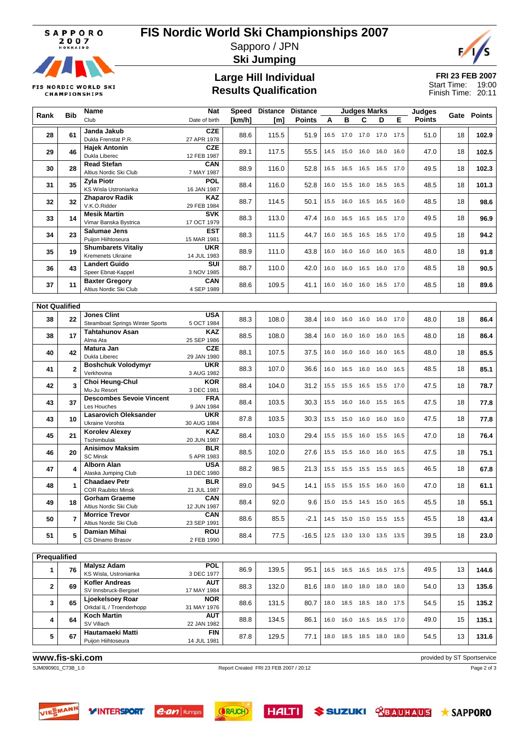## **FIS Nordic World Ski Championships 2007**

Sapporo / JPN

**FIS NORDIC WORLD SKI CHAMPIONSHIPS** 

**Ski Jumping**

#### **Large Hill Individual Results Qualification**

**FRI 23 FEB 2007** 19:00 Finish Time: 20:11 Start Time:

**Rank Bib Name** Club **Nat** Date of birth **Speed Distance Distance [km/h] [m] Points Judges Marks ABCDE Judges Points Gate Points 28** 61 **Janda Jakub CZE**<br>Dukla Frenstat P.R. 27 APR 1978 Dukla Frenstat P.R. 27 APR 1978 88.6 115.5 51.9 16.5 17.0 17.0 17.0 17.5 51.0 <sup>18</sup> **102.9 29 46 Hajek Antonin CZE**<br> **29 46** Dukla Liberec 12 FEB 1987 Public Public 12 FEB 1987 89.1 117.5 55.5 14.5 15.0 16.0 16.0 16.0 17.0 18 **102.5**<br>Dukla Liberec 18 1987 12 FEB 1987 89.1 117.5 55.5 14.5 15.0 16.0 16.0 16.0 16.0 17.0 18 102.**5 30 28 Read Stefan CAN**<br> **28 Altius Nordic Ski Club** 7 MAY 1987 Altius Nordic Ski Club 7 MAY 1987 88.9 116.0 52.8 16.5 16.5 16.5 17.0 49.5 18 1**02.3 31** 35 **Zyla Piotr POL**<br>KS Wisla Ustronianka 16 JAN 1987 KS Wisla Ustronianka 16 JAN 1987 88.4 116.0 52.8 16.0 15.5 16.0 16.5 16.5 48.5 <sup>18</sup> **101.3 32 32 Zhaparov Radik KAZ**<br>
V.K.O.Ridder 29 FEB 1984 V.K.O.Ridder 29 FEB 1984 88.7 114.5 50.1 15.5 16.0 16.5 16.5 16.0 48.5 <sup>18</sup> **98.6 33** 14 **Mesik Martin SVK**<br>Vimar Banska Bystrica 17 OCT 1979 Vimar Banska Bystrica 17 OCT 1979 88.3 113.0 47.4 16.0 16.5 16.5 16.5 17.0 49.5 <sup>18</sup> **96.9 34 23 Salumae Jens EST**<br>Puijon Hiihtoseura **15 MAR** 1981 Puijon Hiihtoseura 15 MAR 1981 88.3 111.5 44.7 16.0 16.5 16.5 16.5 17.0 49.5 <sup>18</sup> **94.2 35 19 Shumbarets Vitaliy UKR** Kremenets Ukraine 14 JUL 1983 88.9 111.0 43.8 16.0 16.0 16.0 16.0 16.5 48.0 <sup>18</sup> **91.8 36** 43 **Landert Guido SUI**<br>Speer Ebnat-Kappel **SUI** 3 NOV 1985 Speer Ebnat-Kappel 3 NOV 1985 88.7 110.0 42.0 16.0 16.0 16.5 16.0 17.0 48.5 <sup>18</sup> **90.5 37** 11 **Baxter Gregory CAN**<br>Altius Nordic Ski Club 4 SEP 1989 Altius Nordic Ski Club 4 SEP 1989 88.6 109.5 41.1 16.0 16.0 16.0 16.5 17.0 48.5 18 **89.6**<br>Altius Nordic Ski Club **Not Qualified 38 22 Jones Clint USA USA** 88.3 108.0 38.4 16.0 16.0 16.0 17.0 48.0 18 86.4 **38** 17 **Tahtahunov Asan** KAZ<br>Alma Ata 25 SEP 1986 Alma Ata 25 SEP 1986 88.5 108.0 38.4 16.0 16.0 16.0 16.0 16.5 48.0 18 **86.4**<br>Alma Ata **40 42 Matura Jan CZE**<br>Dukla Liberec 29 JAN 1980 Dukla Liberec 29 JAN 1980 88.1 107.5 37.5 16.0 16.0 16.0 16.0 16.5 48.0 <sup>18</sup> **85.5 41 2 Boshchuk Volodymyr UKR**<br>Verkhovina **3** AUG 1982 Verkhovina 3 AUG 1982 88.3 107.0 36.6 16.0 16.5 16.0 16.0 16.5 48.5 <sup>18</sup> **85.1 42 3 Choi Heung-Chul KOR**<br> **42 3 C 1981**<br> **5 C 1981** Mu-Ju Resort **3DEC 1981** 88.4 104.0 31.2 15.5 15.5 16.5 17.0 47.5 18 **78.7**<br>Mu-Ju Resort **43** 37 **Descombes Sevoie Vincent** FRA<br>**43 1984 PRA** Les Houches 9 JAN 1984 88.4 103.5 30.3 15.5 16.0 16.0 15.5 16.5 47.5 <sup>18</sup> **77.8 43** 10 **Lasarovich Oleksander UKR**<br>Ukraine Vorohta **1984** 30 AUG 1984 Ukraine Vorohta 30 AUG 1984 87.8 103.5 30.3 15.5 15.0 16.0 16.0 16.0 47.5 <sup>18</sup> **77.8 45 21 Korolev Alexey KAZ**<br>Tschimbulak 20 JUN 1987 Tschimbulak 20 JUN 1987 88.4 103.0 29.4 15.5 15.5 16.0 15.5 16.5 47.0 <sup>18</sup> **76.4 46 20 Anisimov Maksim BLR**<br>5 APR 1983 SC Minsk **6 Apr 1983** 5 APR 1983 88.5 102.0 27.6 15.5 15.5 16.0 16.0 16.5 47.5 18 75.1 **47** 4 **Alborn Alan** USA<br>Alaska Jumping Club 13 DEC 1980 Alboth Atari<br>Alaska Jumping Club 13 DEC 1980 88.2 38.5 21.3 15.5 15.5 15.5 15.5 16.5 46.5 18 **67.8 48** 1 **Chaadaev Petr** BLR<br> **1 COR Raubitci Minsk** 21 JUL 1987 COR Raubitci Minsk 21 JUL 1987 89.0 94.5 14.1 15.5 15.5 15.5 16.0 16.0 47.0 <sup>18</sup> **61.1 49 18 Gorham Graeme CAN**<br>**49 18 Altius Nordic Ski Club 12 JUN 1987** Altius Nordic Ski Club 12 JUN 1987 88.4 92.0 9.6 15.0 15.5 14.5 15.0 16.5 45.5 18 55.1 **50 7 Morrice Trevor CAN**<br>Altius Nordic Ski Club 23 SEP 1991 Altius Nordic Ski Club 23 SEP 1991 88.6 85.5 -2.1 14.5 15.0 15.0 15.5 15.5 45.5 18 **43.4 51** 5 **Damian Mihai** ROU<br>CS Dinamo Brasov 2 FEB 1990 CS Dinamo Brasov 2 FEB 1990 88.4 77.5 -16.5 12.5 13.0 13.0 13.5 13.5 39.5 <sup>18</sup> **23.0 Prequalified 1 76 Malysz Adam POL** KS Wisla, Ustronianka 3 DEC 1977 86.9 139.5 95.1 16.5 16.5 16.5 16.5 17.5 49.5 <sup>13</sup> **144.6 2 69 Kofler Andreas AUT** SV Innsbruck-Bergisel 17 MAY 1984 88.3 132.0 81.6 18.0 18.0 18.0 18.0 18.0 54.0 <sup>13</sup> **135.6 3 65 Ljoekelsoey Roar MOR**<br>Orkdal IL / Troenderhopp 31 MAY 1976 Orkdal IL / Troenderhopp 31 MAY 1976 88.6 131.5 80.7 18.0 18.5 18.5 18.0 17.5 54.5 <sup>15</sup> **135.2**

#### **www.fis-ski.com** provided by ST Sportservice

SJM090901\_C73B\_1.0 Report Created FRI 23 FEB 2007 / 20:12

Page 2 of 3



**4 64 Koch Martin AUT**<br>SV Villach **22 JAN 1982** 

**5 67 Hautamaeki Matti FIN FIN FIN FIN Puijon Hiihtoseura 14 JUL 1981** 





SV Villach 22 JAN 1982 88.8 134.5 86.1 16.0 16.0 16.5 16.5 17.0 49.0 <sup>15</sup> **135.1**

Puijon Hiihtoseura 14 JUL 1981 87.8 129.5 77.1 18.0 18.5 18.5 18.0 18.0 54.5 13 131.**6**<br>Puijon Hiihtoseura